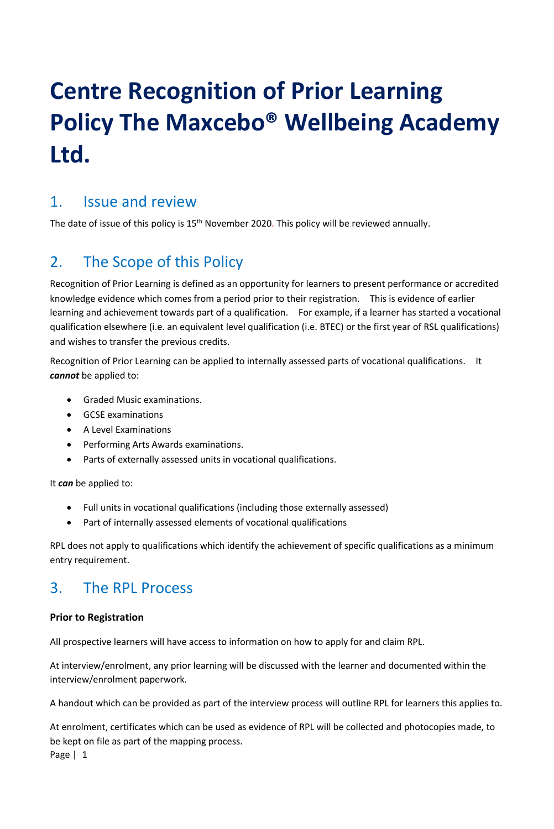# **Centre Recognition of Prior Learning Policy The Maxcebo® Wellbeing Academy Ltd.**

## 1. Issue and review

The date of issue of this policy is 15<sup>th</sup> November 2020. This policy will be reviewed annually.

# 2. The Scope of this Policy

Recognition of Prior Learning is defined as an opportunity for learners to present performance or accredited knowledge evidence which comes from a period prior to their registration. This is evidence of earlier learning and achievement towards part of a qualification. For example, if a learner has started a vocational qualification elsewhere (i.e. an equivalent level qualification (i.e. BTEC) or the first year of RSL qualifications) and wishes to transfer the previous credits.

Recognition of Prior Learning can be applied to internally assessed parts of vocational qualifications. It *cannot* be applied to:

- Graded Music examinations.
- GCSE examinations
- A Level Examinations
- Performing Arts Awards examinations.
- Parts of externally assessed units in vocational qualifications.

It *can* be applied to:

- Full units in vocational qualifications (including those externally assessed)
- Part of internally assessed elements of vocational qualifications

RPL does not apply to qualifications which identify the achievement of specific qualifications as a minimum entry requirement.

# 3. The RPL Process

## **Prior to Registration**

All prospective learners will have access to information on how to apply for and claim RPL.

At interview/enrolment, any prior learning will be discussed with the learner and documented within the interview/enrolment paperwork.

A handout which can be provided as part of the interview process will outline RPL for learners this applies to.

Page | 1 At enrolment, certificates which can be used as evidence of RPL will be collected and photocopies made, to be kept on file as part of the mapping process.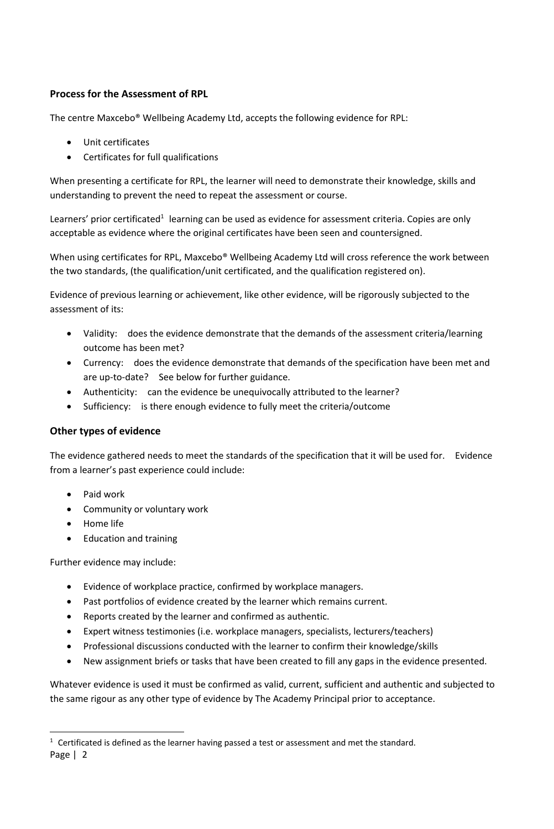## **Process for the Assessment of RPL**

The centre Maxcebo® Wellbeing Academy Ltd, accepts the following evidence for RPL:

- Unit certificates
- Certificates for full qualifications

When presenting a certificate for RPL, the learner will need to demonstrate their knowledge, skills and understanding to prevent the need to repeat the assessment or course.

Learners' prior certificated<sup>1</sup> learning can be used as evidence for assessment criteria. Copies are only acceptable as evidence where the original certificates have been seen and countersigned.

When using certificates for RPL, Maxcebo® Wellbeing Academy Ltd will cross reference the work between the two standards, (the qualification/unit certificated, and the qualification registered on).

Evidence of previous learning or achievement, like other evidence, will be rigorously subjected to the assessment of its:

- Validity: does the evidence demonstrate that the demands of the assessment criteria/learning outcome has been met?
- Currency: does the evidence demonstrate that demands of the specification have been met and are up-to-date? See below for further guidance.
- Authenticity: can the evidence be unequivocally attributed to the learner?
- Sufficiency: is there enough evidence to fully meet the criteria/outcome

### **Other types of evidence**

The evidence gathered needs to meet the standards of the specification that it will be used for. Evidence from a learner's past experience could include:

- Paid work
- Community or voluntary work
- Home life
- Education and training

Further evidence may include:

- Evidence of workplace practice, confirmed by workplace managers.
- Past portfolios of evidence created by the learner which remains current.
- Reports created by the learner and confirmed as authentic.
- Expert witness testimonies (i.e. workplace managers, specialists, lecturers/teachers)
- Professional discussions conducted with the learner to confirm their knowledge/skills
- New assignment briefs or tasks that have been created to fill any gaps in the evidence presented.

Whatever evidence is used it must be confirmed as valid, current, sufficient and authentic and subjected to the same rigour as any other type of evidence by The Academy Principal prior to acceptance.

Page | 2  $1$  Certificated is defined as the learner having passed a test or assessment and met the standard.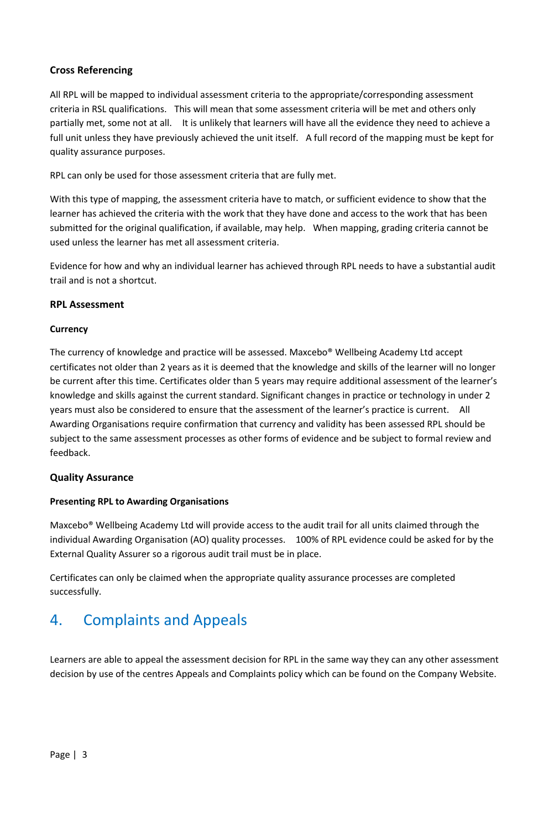## **Cross Referencing**

All RPL will be mapped to individual assessment criteria to the appropriate/corresponding assessment criteria in RSL qualifications. This will mean that some assessment criteria will be met and others only partially met, some not at all. It is unlikely that learners will have all the evidence they need to achieve a full unit unless they have previously achieved the unit itself. A full record of the mapping must be kept for quality assurance purposes.

RPL can only be used for those assessment criteria that are fully met.

With this type of mapping, the assessment criteria have to match, or sufficient evidence to show that the learner has achieved the criteria with the work that they have done and access to the work that has been submitted for the original qualification, if available, may help. When mapping, grading criteria cannot be used unless the learner has met all assessment criteria.

Evidence for how and why an individual learner has achieved through RPL needs to have a substantial audit trail and is not a shortcut.

#### **RPL Assessment**

#### **Currency**

The currency of knowledge and practice will be assessed. Maxcebo® Wellbeing Academy Ltd accept certificates not older than 2 years as it is deemed that the knowledge and skills of the learner will no longer be current after this time. Certificates older than 5 years may require additional assessment of the learner's knowledge and skills against the current standard. Significant changes in practice or technology in under 2 years must also be considered to ensure that the assessment of the learner's practice is current. All Awarding Organisations require confirmation that currency and validity has been assessed RPL should be subject to the same assessment processes as other forms of evidence and be subject to formal review and feedback.

#### **Quality Assurance**

#### **Presenting RPL to Awarding Organisations**

Maxcebo® Wellbeing Academy Ltd will provide access to the audit trail for all units claimed through the individual Awarding Organisation (AO) quality processes. 100% of RPL evidence could be asked for by the External Quality Assurer so a rigorous audit trail must be in place.

Certificates can only be claimed when the appropriate quality assurance processes are completed successfully.

# 4. Complaints and Appeals

Learners are able to appeal the assessment decision for RPL in the same way they can any other assessment decision by use of the centres Appeals and Complaints policy which can be found on the Company Website.